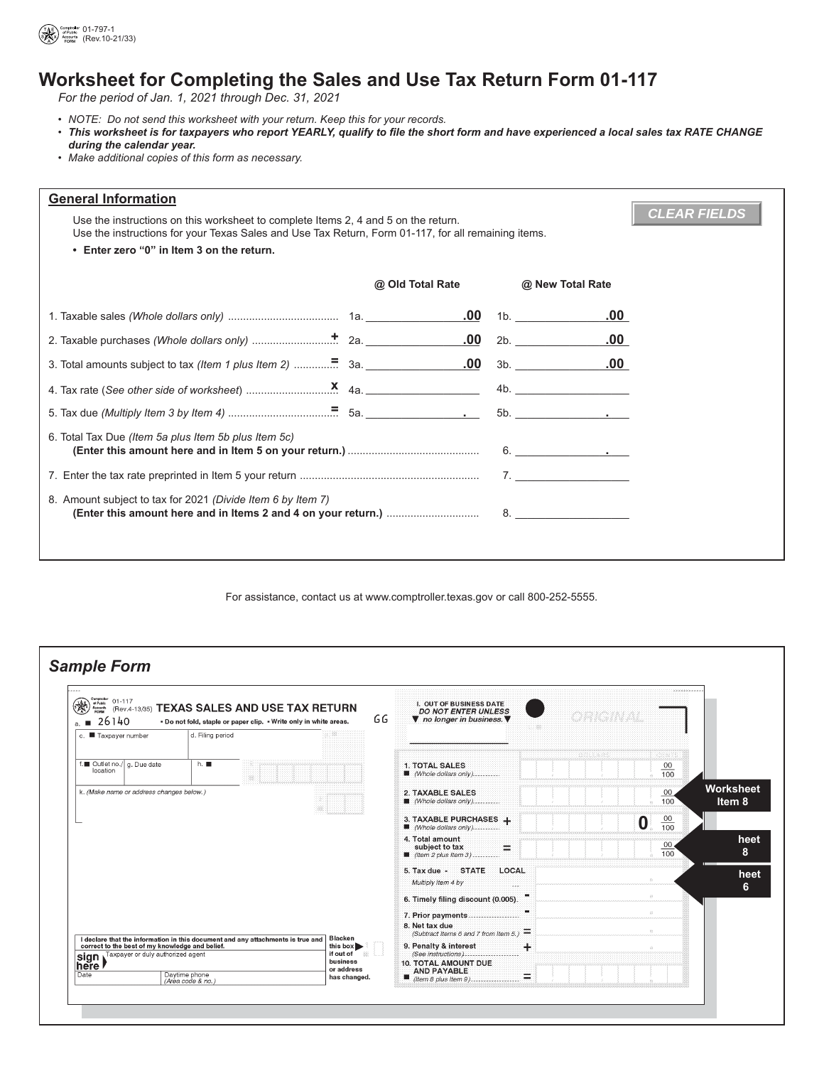

## **Worksheet for Completing the Sales and Use Tax Return Form 01-117**

*For the period of Jan. 1, 2021 through Dec. 31, 2021*

- *NOTE: Do not send this worksheet with your return. Keep this for your records.*
- This worksheet is for taxpayers who report YEARLY, qualify to file the short form and have experienced a local sales tax RATE CHANGE during the calendar year.
- *Make additional copies of this form as necessary.*

| <b>General Information</b>                                                                                                                                                                                       |                  |  |                  |  |  |  |  |  |
|------------------------------------------------------------------------------------------------------------------------------------------------------------------------------------------------------------------|------------------|--|------------------|--|--|--|--|--|
| <b>CLEAR FIELDS</b><br>Use the instructions on this worksheet to complete Items 2, 4 and 5 on the return.<br>Use the instructions for your Texas Sales and Use Tax Return, Form 01-117, for all remaining items. |                  |  |                  |  |  |  |  |  |
| • Enter zero "0" in Item 3 on the return.                                                                                                                                                                        |                  |  |                  |  |  |  |  |  |
|                                                                                                                                                                                                                  | @ Old Total Rate |  | @ New Total Rate |  |  |  |  |  |
|                                                                                                                                                                                                                  | <u>.00</u>       |  | .00.<br>1b.      |  |  |  |  |  |
|                                                                                                                                                                                                                  | .00              |  | 2b.<br>.00.      |  |  |  |  |  |
|                                                                                                                                                                                                                  |                  |  | $.00$ 3b. $.00$  |  |  |  |  |  |
|                                                                                                                                                                                                                  |                  |  |                  |  |  |  |  |  |
|                                                                                                                                                                                                                  |                  |  |                  |  |  |  |  |  |
| 6. Total Tax Due (Item 5a plus Item 5b plus Item 5c)                                                                                                                                                             |                  |  | 6.               |  |  |  |  |  |
|                                                                                                                                                                                                                  |                  |  |                  |  |  |  |  |  |
| 8. Amount subject to tax for 2021 (Divide Item 6 by Item 7)<br>8.                                                                                                                                                |                  |  |                  |  |  |  |  |  |
|                                                                                                                                                                                                                  |                  |  |                  |  |  |  |  |  |

For assistance, contact us at <www.comptroller.texas.gov>or call 800-252-5555.

| Comptroller<br>of Public<br>$01 - 117$<br>❀<br>Accounts<br>26140<br>a. | (Rev.4-13/35) TEXAS SALES AND USE TAX RETURN<br>. Do not fold, staple or paper clip. . Write only in white areas.                                | GG | I. OUT OF BUSINESS DATE<br><b>DO NOT ENTER UNLESS</b><br>▼ no longer in business. ▼   |       | <u>ong na</u> | <b>School Advision with a</b>        |                     |
|------------------------------------------------------------------------|--------------------------------------------------------------------------------------------------------------------------------------------------|----|---------------------------------------------------------------------------------------|-------|---------------|--------------------------------------|---------------------|
| c. Taxpayer number                                                     | d. Filing period                                                                                                                                 |    |                                                                                       |       |               |                                      |                     |
| f. Outlet no./   g. Due date<br>location                               | h.                                                                                                                                               |    | <b>1. TOTAL SALES</b><br>Whole dollars only)                                          |       | axxanx        | erana<br>$\frac{00}{100}$            |                     |
| k. (Make name or address changes below.)                               |                                                                                                                                                  |    | 2. TAXABLE SALES<br>Whole dollars only)                                               |       |               | 00<br>100                            | Worksheet<br>Item 8 |
|                                                                        |                                                                                                                                                  |    | 3. TAXABLE PURCHASES +<br>Whole dollars only)                                         |       |               | $\frac{00}{100}$<br>$\boldsymbol{0}$ |                     |
|                                                                        |                                                                                                                                                  |    | 4. Total amount<br>subject to tax<br>⋍<br>■ (Item 2 plus Item 3)                      |       |               | 00 <sub>0</sub><br>100               | heet<br>8           |
|                                                                        |                                                                                                                                                  |    | 5. Tax due - STATE<br>LOCAL<br>Multiply Item 4 by<br>-22                              |       |               |                                      | heet<br>6           |
|                                                                        |                                                                                                                                                  |    | 6. Timely filing discount (0.005).                                                    |       |               | $\otimes$                            |                     |
|                                                                        |                                                                                                                                                  |    | 7. Prior payments<br>8. Net tax due<br>(Subtract Items 6 and 7 from Item 5.) $\equiv$ |       |               | $\otimes$<br>$\gg$                   |                     |
| correct to the best of my knowledge and belief.                        | <b>Blacken</b><br>I declare that the information in this document and any attachments is true and<br>this box $\blacktriangleright$<br>if out of |    | 9. Penalty & interest<br>(See instructions)                                           | $\pm$ |               | in.                                  |                     |
| sign Taxpayer or duly authorized agent<br>Date                         | business<br>or address<br>Daytime phone<br>has changed.<br>(Area code & no.)                                                                     |    | <b>10. TOTAL AMOUNT DUE</b><br><b>AND PAYABLE</b><br>$\equiv$                         |       |               |                                      |                     |